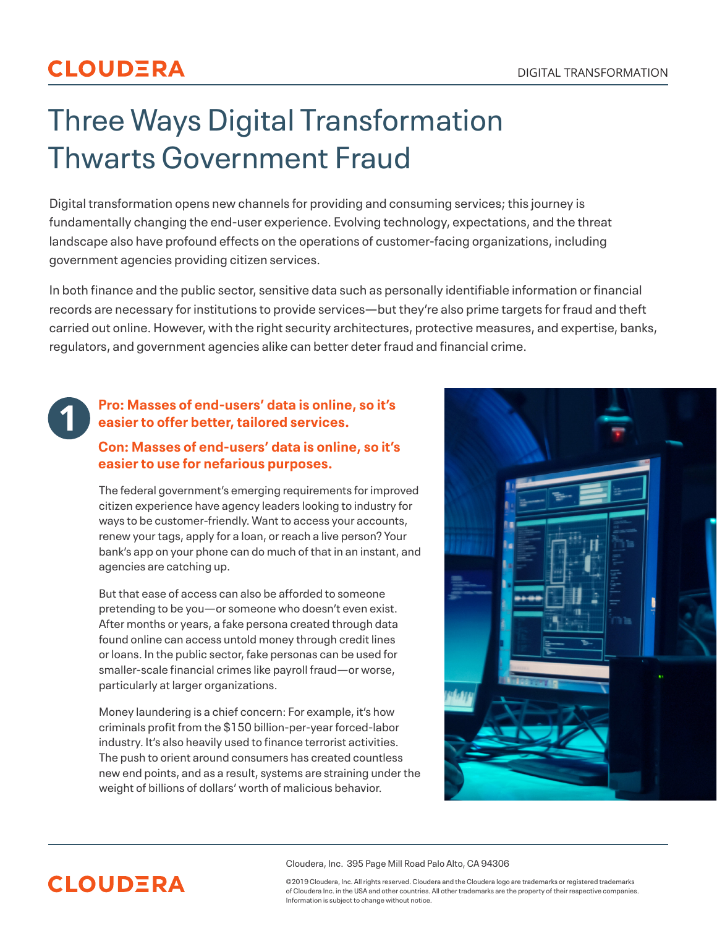# **CLOUDERA**

# Three Ways Digital Transformation Thwarts Government Fraud

Digital transformation opens new channels for providing and consuming services; this journey is fundamentally changing the end-user experience. Evolving technology, expectations, and the threat landscape also have profound effects on the operations of customer-facing organizations, including government agencies providing citizen services.

In both finance and the public sector, sensitive data such as personally identifiable information or financial records are necessary for institutions to provide services—but they're also prime targets for fraud and theft carried out online. However, with the right security architectures, protective measures, and expertise, banks, regulators, and government agencies alike can better deter fraud and financial crime.

## **1 Pro: Masses of end-users' data is online, so it's easier to offer better, tailored services.**

### **Con: Masses of end-users' data is online, so it's easier to use for nefarious purposes.**

The federal government's emerging requirements for improved citizen experience have agency leaders looking to industry for ways to be customer-friendly. Want to access your accounts, renew your tags, apply for a loan, or reach a live person? Your bank's app on your phone can do much of that in an instant, and agencies are catching up.

But that ease of access can also be afforded to someone pretending to be you—or someone who doesn't even exist. After months or years, a fake persona created through data found online can access untold money through credit lines or loans. In the public sector, fake personas can be used for smaller-scale financial crimes like payroll fraud—or worse, particularly at larger organizations.

Money laundering is a chief concern: For example, it's how criminals profit from the \$150 billion-per-year forced-labor industry. It's also heavily used to finance terrorist activities. The push to orient around consumers has created countless new end points, and as a result, systems are straining under the weight of billions of dollars' worth of malicious behavior.



Cloudera, Inc. 395 Page Mill Road Palo Alto, CA 94306

#### ©2019 Cloudera, Inc. All rights reserved. Cloudera and the Cloudera logo are trademarks or registered trademarks of Cloudera Inc. in the USA and other countries. All other trademarks are the property of their respective companies. Information is subject to change without notice.

# **CLOUDERA**